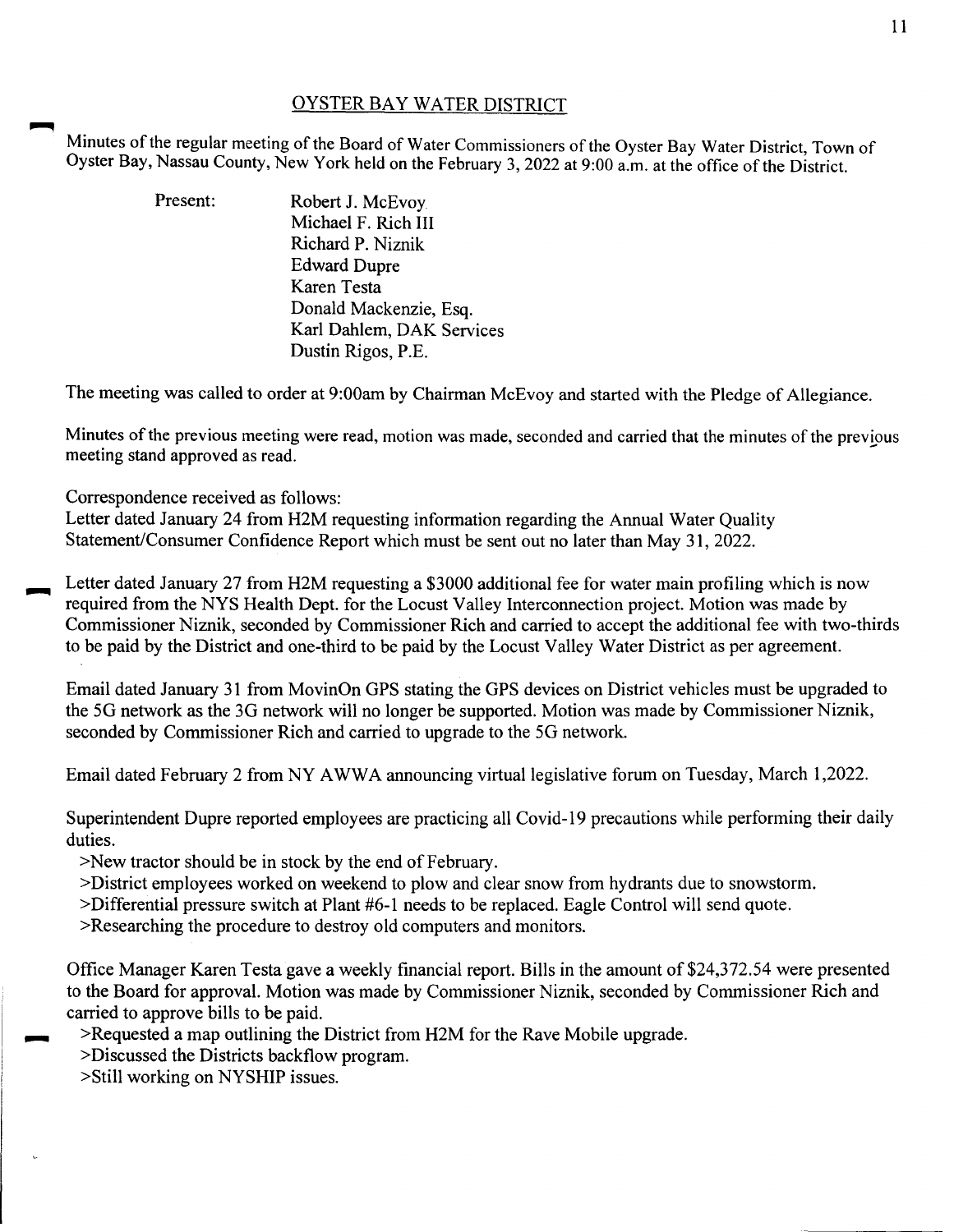## OYSTER BAY WATER DISTRICT

Minutes of the regular meeting of the Board of Water Commissioners of the Oyster Bay Water District, Town of Oyster Bay, Nassau County, New York held on the February 3, 2022 at 9:00 a.m. at the office of the District.

| Present: | Robert J. McEvoy.         |
|----------|---------------------------|
|          | Michael F. Rich III       |
|          | Richard P. Niznik         |
|          | <b>Edward Dupre</b>       |
|          | Karen Testa               |
|          | Donald Mackenzie, Esq.    |
|          | Karl Dahlem, DAK Services |
|          | Dustin Rigos, P.E.        |

The meeting was called to order at 9:00am by Chairman McEvoy and started with the Pledge of Allegiance.

Minutes of the previous meeting were read, motion was made, seconded and carried that the minutes of the previous meeting stand approved as read.

Correspondence received as follows:

Letter dated January 24 from H2M requesting information regarding the Annual Water Quality Statement/Consumer Confidence Report which must be sent out no later than May 31, 2022.

Letter dated January 27 from H2M requesting a \$3000 additional fee for water main profiling which is now required from the NYS Health Dept. for the Locust Valley Interconnection project. Motion was made by Commissioner Niznik, seconded by Commissioner Rich and carried to accept the additional fee with two-thirds to be paid by the District and one-third to be paid by the Locust Valley Water District as per agreement.

Email dated January 31 from MovinOn GPS stating the GPS devices on District vehicles must be upgraded to the SG network as the 3G network will no longer be supported. Motion was made by Commissioner Niznik, seconded by Commissioner Rich and carried to upgrade to the SG network.

Email dated February 2 from NY AWWA announcing virtual legislative forum on Tuesday, March 1,2022.

Superintendent Dupre reported employees are practicing all Covid-19 precautions while performing their daily duties.

>New tractor should be in stock by the end of February.

>District employees worked on weekend to plow and clear snow from hydrants due to snowstorm.

>Differential pressure switch at Plant #6-1 needs to be replaced. Eagle Control will send quote.

>Researching the procedure to destroy old computers and monitors.

Office Manager Karen Testa gave a weekly financial report. Bills in the amount of\$24,372.54 were presented to the Board for approval. Motion was made by Commissioner Niznik, seconded by Commissioner Rich and carried to approve bills to be paid.

>Requested a map outlining the District from H2M for the Rave Mobile upgrade.

>Discussed the Districts backflow program.

>Still working on NYSHIP issues.